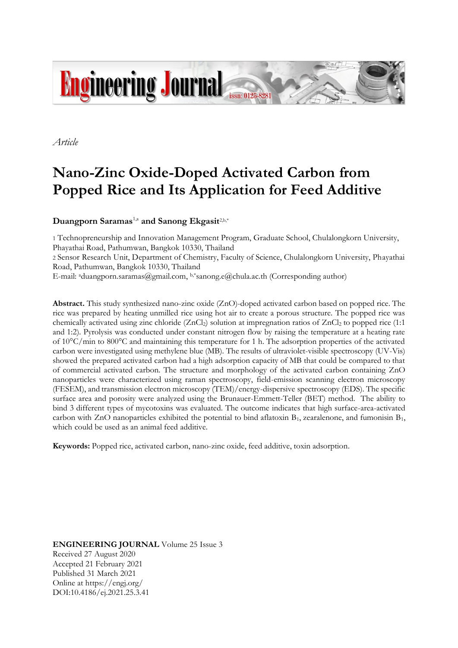

*Article*

# **Nano-Zinc Oxide-Doped Activated Carbon from Popped Rice and Its Application for Feed Additive**

**Duangporn Saramas**1,a **and Sanong Ekgasit**2,b,\*

1 Technopreneurship and Innovation Management Program, Graduate School, Chulalongkorn University, Phayathai Road, Pathumwan, Bangkok 10330, Thailand 2 Sensor Research Unit, Department of Chemistry, Faculty of Science, Chulalongkorn University, Phayathai Road, Pathumwan, Bangkok 10330, Thailand

E-mail: <sup>a</sup>duangporn.saramas@gmail.com, b,\*sanong.e@chula.ac.th (Corresponding author)

**Abstract.** This study synthesized nano-zinc oxide (ZnO)-doped activated carbon based on popped rice. The rice was prepared by heating unmilled rice using hot air to create a porous structure. The popped rice was chemically activated using zinc chloride (ZnCl<sub>2</sub>) solution at impregnation ratios of ZnCl<sub>2</sub> to popped rice (1:1 and 1:2). Pyrolysis was conducted under constant nitrogen flow by raising the temperature at a heating rate of 10°C/min to 800°C and maintaining this temperature for 1 h. The adsorption properties of the activated carbon were investigated using methylene blue (MB). The results of ultraviolet-visible spectroscopy (UV-Vis) showed the prepared activated carbon had a high adsorption capacity of MB that could be compared to that of commercial activated carbon. The structure and morphology of the activated carbon containing ZnO nanoparticles were characterized using raman spectroscopy, field-emission scanning electron microscopy (FESEM), and transmission electron microscopy (TEM)/energy-dispersive spectroscopy (EDS). The specific surface area and porosity were analyzed using the Brunauer-Emmett-Teller (BET) method. The ability to bind 3 different types of mycotoxins was evaluated. The outcome indicates that high surface-area-activated carbon with ZnO nanoparticles exhibited the potential to bind aflatoxin B1, zearalenone, and fumonisin B1, which could be used as an animal feed additive.

**Keywords:** Popped rice, activated carbon, nano-zinc oxide, feed additive, toxin adsorption.

**ENGINEERING JOURNAL** Volume 25 Issue 3 Received 27 August 2020 Accepted 21 February 2021 Published 31 March 2021 Online at https://engj.org/ DOI:10.4186/ej.2021.25.3.41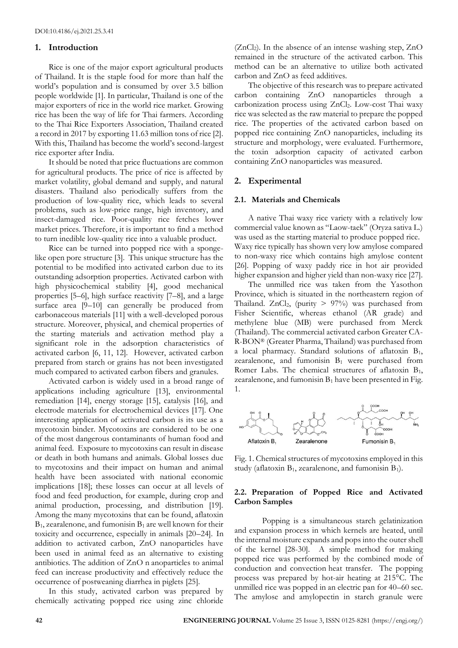## **1. Introduction**

Rice is one of the major export agricultural products of Thailand. It is the staple food for more than half the world's population and is consumed by over 3.5 billion people worldwide [1]. In particular, Thailand is one of the major exporters of rice in the world rice market. Growing rice has been the way of life for Thai farmers. According to the Thai Rice Exporters Association, Thailand created a record in 2017 by exporting 11.63 million tons of rice [2]. With this, Thailand has become the world's second-largest rice exporter after India.

It should be noted that price fluctuations are common for agricultural products. The price of rice is affected by market volatility, global demand and supply, and natural disasters. Thailand also periodically suffers from the production of low-quality rice, which leads to several problems, such as low-price range, high inventory, and insect-damaged rice. Poor-quality rice fetches lower market prices. Therefore, it is important to find a method to turn inedible low-quality rice into a valuable product.

Rice can be turned into popped rice with a spongelike open pore structure [3]. This unique structure has the potential to be modified into activated carbon due to its outstanding adsorption properties. Activated carbon with high physicochemical stability [4], good mechanical properties [5–6], high surface reactivity [7–8], and a large surface area [9–10] can generally be produced from carbonaceous materials [11] with a well-developed porous structure. Moreover, physical, and chemical properties of the starting materials and activation method play a significant role in the adsorption characteristics of activated carbon [6, 11, 12]. However, activated carbon prepared from starch or grains has not been investigated much compared to activated carbon fibers and granules.

Activated carbon is widely used in a broad range of applications including agriculture [13], environmental remediation [14], energy storage [15], catalysis [16], and electrode materials for electrochemical devices [17]. One interesting application of activated carbon is its use as a mycotoxin binder. Mycotoxins are considered to be one of the most dangerous contaminants of human food and animal feed. Exposure to mycotoxins can result in disease or death in both humans and animals. Global losses due to mycotoxins and their impact on human and animal health have been associated with national economic implications [18]; these losses can occur at all levels of food and feed production, for example, during crop and animal production, processing, and distribution [19]. Among the many mycotoxins that can be found, aflatoxin  $B_1$ , zearalenone, and fumonisin  $B_1$  are well known for their toxicity and occurrence, especially in animals [20–24]. In addition to activated carbon, ZnO nanoparticles have been used in animal feed as an alternative to existing antibiotics. The addition of ZnO n anoparticles to animal feed can increase productivity and effectively reduce the occurrence of postweaning diarrhea in piglets [25].

In this study, activated carbon was prepared by chemically activating popped rice using zinc chloride  $(ZnCl<sub>2</sub>)$ . In the absence of an intense washing step,  $ZnO$ remained in the structure of the activated carbon. This method can be an alternative to utilize both activated carbon and ZnO as feed additives.

The objective of this research was to prepare activated carbon containing ZnO nanoparticles through a carbonization process using ZnCl2. Low-cost Thai waxy rice was selected as the raw material to prepare the popped rice. The properties of the activated carbon based on popped rice containing ZnO nanoparticles, including its structure and morphology, were evaluated. Furthermore, the toxin adsorption capacity of activated carbon containing ZnO nanoparticles was measured.

# **2. Experimental**

## **2.1. Materials and Chemicals**

A native Thai waxy rice variety with a relatively low commercial value known as "Laow-taek" (Oryza sativa L.) was used as the starting material to produce popped rice. Waxy rice typically has shown very low amylose compared to non-waxy rice which contains high amylose content [26]. Popping of waxy paddy rice in hot air provided higher expansion and higher yield than non-waxy rice [27].

The unmilled rice was taken from the Yasothon Province, which is situated in the northeastern region of Thailand. ZnCl<sub>2</sub>, (purity  $> 97\%$ ) was purchased from Fisher Scientific, whereas ethanol (AR grade) and methylene blue (MB) were purchased from Merck (Thailand). The commercial activated carbon Greater CA-R-BON® (Greater Pharma, Thailand) was purchased from a local pharmacy. Standard solutions of aflatoxin  $B_1$ , zearalenone, and fumonisin  $B_1$  were purchased from Romer Labs. The chemical structures of aflatoxin  $B_1$ , zearalenone, and fumonisin  $B_1$  have been presented in Fig. 1.



Fig. 1. Chemical structures of mycotoxins employed in this study (aflatoxin  $B_1$ , zearalenone, and fumonisin  $B_1$ ).

# **2.2. Preparation of Popped Rice and Activated Carbon Samples**

Popping is a simultaneous starch gelatinization and expansion process in which kernels are heated, until the internal moisture expands and pops into the outer shell of the kernel [28-30]. A simple method for making popped rice was performed by the combined mode of conduction and convection heat transfer. The popping process was prepared by hot-air heating at 215°C. The unmilled rice was popped in an electric pan for 40–60 sec. The amylose and amylopectin in starch granule were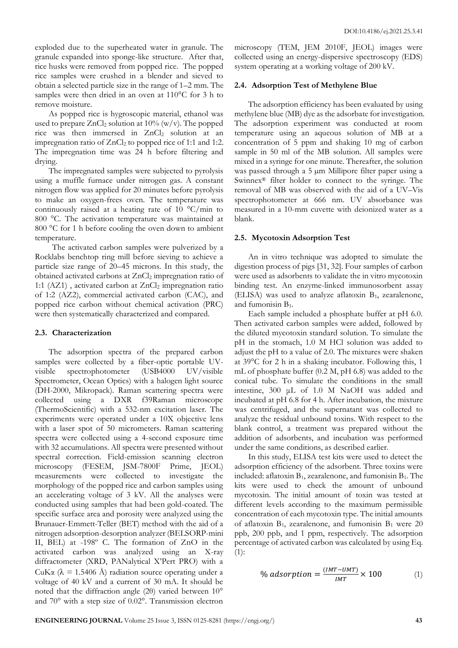exploded due to the superheated water in granule. The granule expanded into sponge-like structure. After that, rice husks were removed from popped rice. The popped rice samples were crushed in a blender and sieved to obtain a selected particle size in the range of 1–2 mm. The samples were then dried in an oven at 110<sup>o</sup>C for 3 h to remove moisture.

As popped rice is hygroscopic material, ethanol was used to prepare  $ZnCl<sub>2</sub>$  solution at 10% (w/v). The popped rice was then immersed in ZnCl<sub>2</sub> solution at an impregnation ratio of  $ZnCl<sub>2</sub>$  to popped rice of 1:1 and 1:2. The impregnation time was 24 h before filtering and drying.

The impregnated samples were subjected to pyrolysis using a muffle furnace under nitrogen gas. A constant nitrogen flow was applied for 20 minutes before pyrolysis to make an oxygen-frees oven. The temperature was continuously raised at a heating rate of 10  $\mathrm{C/min}$  to 800 °C. The activation temperature was maintained at 800 °C for 1 h before cooling the oven down to ambient temperature.

The activated carbon samples were pulverized by a Rocklabs benchtop ring mill before sieving to achieve a particle size range of 20–45 microns. In this study, the obtained activated carbons at ZnCl<sub>2</sub> impregnation ratio of 1:1 ( $AZ1$ ), activated carbon at  $ZnCl<sub>2</sub>$  impregnation ratio of 1:2 (AZ2), commercial activated carbon (CAC), and popped rice carbon without chemical activation (PRC) were then systematically characterized and compared.

## **2.3. Characterization**

The adsorption spectra of the prepared carbon samples were collected by a fiber-optic portable UVvisible spectrophotometer (USB4000 UV/visible Spectrometer, Ocean Optics) with a halogen light source (DH-2000, Mikropack). Raman scattering spectra were collected using a DXR f39Raman microscope (ThermoScientific) with a 532-nm excitation laser. The experiments were operated under a 10X objective lens with a laser spot of 50 micrometers. Raman scattering spectra were collected using a 4-second exposure time with 32 accumulations. All spectra were presented without spectral correction. Field-emission scanning electron microscopy (FESEM, JSM-7800F Prime, JEOL) measurements were collected to investigate the morphology of the popped rice and carbon samples using an accelerating voltage of 3 kV. All the analyses were conducted using samples that had been gold-coated. The specific surface area and porosity were analyzed using the Brunauer-Emmett-Teller (BET) method with the aid of a nitrogen adsorption-desorption analyzer (BELSORP-mini II, BEL) at -198º C. The formation of ZnO in the activated carbon was analyzed using an X-ray diffractometer (XRD, PANalytical X'Pert PRO) with a CuK $\alpha$  ( $\lambda$  = 1.5406 Å) radiation source operating under a voltage of 40 kV and a current of 30 mA. It should be noted that the diffraction angle (2θ) varied between 10° and 70° with a step size of 0.02°. Transmission electron microscopy (TEM, JEM 2010F, JEOL) images were collected using an energy-dispersive spectroscopy (EDS) system operating at a working voltage of 200 kV.

# **2.4. Adsorption Test of Methylene Blue**

The adsorption efficiency has been evaluated by using methylene blue (MB) dye as the adsorbate for investigation. The adsorption experiment was conducted at room temperature using an aqueous solution of MB at a concentration of 5 ppm and shaking 10 mg of carbon sample in 50 ml of the MB solution. All samples were mixed in a syringe for one minute. Thereafter, the solution was passed through a 5  $\mu$ m Millipore filter paper using a Swinnex® filter holder to connect to the syringe. The removal of MB was observed with the aid of a UV–Vis spectrophotometer at 666 nm. UV absorbance was measured in a 10-mm cuvette with deionized water as a blank.

# **2.5. Mycotoxin Adsorption Test**

An in vitro technique was adopted to simulate the digestion process of pigs [31, 32]. Four samples of carbon were used as adsorbents to validate the in vitro mycotoxin binding test. An enzyme-linked immunosorbent assay (ELISA) was used to analyze aflatoxin  $B_1$ , zearalenone, and fumonisin  $B_1$ .

Each sample included a phosphate buffer at pH 6.0. Then activated carbon samples were added, followed by the diluted mycotoxin standard solution. To simulate the pH in the stomach, 1.0 M HCl solution was added to adjust the pH to a value of 2.0. The mixtures were shaken at 39°C for 2 h in a shaking incubator. Following this, 1 mL of phosphate buffer (0.2 M, pH 6.8) was added to the conical tube. To simulate the conditions in the small intestine, 300 μL of 1.0 M NaOH was added and incubated at pH 6.8 for 4 h. After incubation, the mixture was centrifuged, and the supernatant was collected to analyze the residual unbound toxins. With respect to the blank control, a treatment was prepared without the addition of adsorbents, and incubation was performed under the same conditions, as described earlier.

In this study, ELISA test kits were used to detect the adsorption efficiency of the adsorbent. Three toxins were included: aflatoxin  $B_1$ , zearalenone, and fumonisin  $B_1$ . The kits were used to check the amount of unbound mycotoxin. The initial amount of toxin was tested at different levels according to the maximum permissible concentration of each mycotoxin type. The initial amounts of aflatoxin  $B_1$ , zearalenone, and fumonisin  $B_1$  were 20 ppb, 200 ppb, and 1 ppm, respectively. The adsorption percentage of activated carbon was calculated by using Eq.  $(1):$ 

% adsorption = 
$$
\frac{(INT - UMT)}{INT} \times 100
$$
 (1)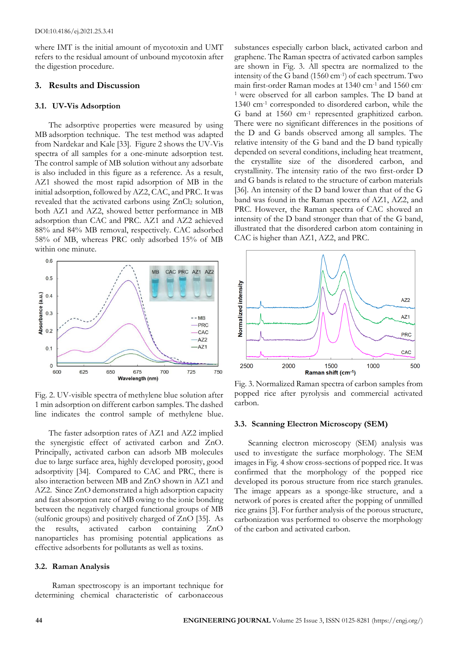where IMT is the initial amount of mycotoxin and UMT refers to the residual amount of unbound mycotoxin after the digestion procedure.

## **3. Results and Discussion**

## **3.1. UV-Vis Adsorption**

The adsorptive properties were measured by using MB adsorption technique. The test method was adapted from Nardekar and Kale [33]. Figure 2 shows the UV-Vis spectra of all samples for a one-minute adsorption test. The control sample of MB solution without any adsorbate is also included in this figure as a reference. As a result, AZ1 showed the most rapid adsorption of MB in the initial adsorption, followed by AZ2, CAC, and PRC. It was revealed that the activated carbons using  $ZnCl<sub>2</sub>$  solution, both AZ1 and AZ2, showed better performance in MB adsorption than CAC and PRC. AZ1 and AZ2 achieved 88% and 84% MB removal, respectively. CAC adsorbed 58% of MB, whereas PRC only adsorbed 15% of MB within one minute.



Fig. 2. UV-visible spectra of methylene blue solution after 1 min adsorption on different carbon samples. The dashed line indicates the control sample of methylene blue.

The faster adsorption rates of AZ1 and AZ2 implied the synergistic effect of activated carbon and ZnO. Principally, activated carbon can adsorb MB molecules due to large surface area, highly developed porosity, good adsorptivity [34]. Compared to CAC and PRC, there is also interaction between MB and ZnO shown in AZ1 and AZ2. Since ZnO demonstrated a high adsorption capacity and fast absorption rate of MB owing to the ionic bonding between the negatively charged functional groups of MB (sulfonic groups) and positively charged of ZnO [35]. As the results, activated carbon containing ZnO nanoparticles has promising potential applications as effective adsorbents for pollutants as well as toxins.

#### **3.2. Raman Analysis**

Raman spectroscopy is an important technique for determining chemical characteristic of carbonaceous

substances especially carbon black, activated carbon and graphene. The Raman spectra of activated carbon samples are shown in Fig. 3. All spectra are normalized to the intensity of the G band (1560 cm-1 ) of each spectrum. Two main first-order Raman modes at 1340 cm-1 and 1560 cm-<sup>1</sup> were observed for all carbon samples. The D band at 1340 cm-1 corresponded to disordered carbon, while the G band at 1560 cm-1 represented graphitized carbon. There were no significant differences in the positions of the D and G bands observed among all samples. The relative intensity of the G band and the D band typically depended on several conditions, including heat treatment, the crystallite size of the disordered carbon, and crystallinity. The intensity ratio of the two first-order D and G bands is related to the structure of carbon materials [36]. An intensity of the D band lower than that of the G band was found in the Raman spectra of AZ1, AZ2, and PRC. However, the Raman spectra of CAC showed an intensity of the D band stronger than that of the G band, illustrated that the disordered carbon atom containing in CAC is higher than AZ1, AZ2, and PRC.



Fig. 3. Normalized Raman spectra of carbon samples from popped rice after pyrolysis and commercial activated carbon.

#### **3.3. Scanning Electron Microscopy (SEM)**

Scanning electron microscopy (SEM) analysis was used to investigate the surface morphology. The SEM images in Fig. 4 show cross-sections of popped rice. It was confirmed that the morphology of the popped rice developed its porous structure from rice starch granules. The image appears as a sponge-like structure, and a network of pores is created after the popping of unmilled rice grains [3]. For further analysis of the porous structure, carbonization was performed to observe the morphology of the carbon and activated carbon.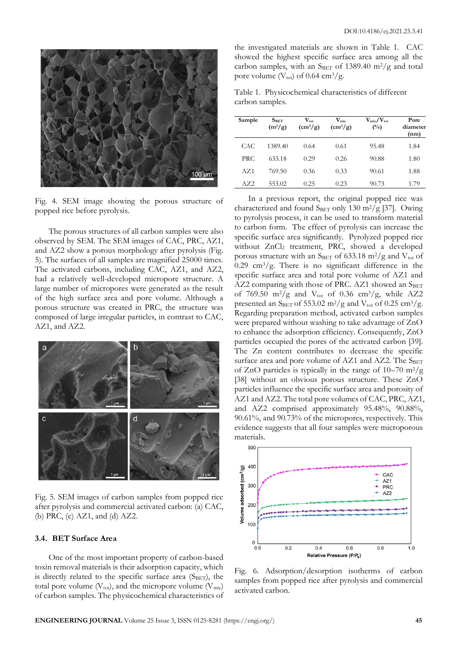

Fig. 4. SEM image showing the porous structure of popped rice before pyrolysis.

The porous structures of all carbon samples were also observed by SEM. The SEM images of CAC, PRC, AZ1, and AZ2 show a porous morphology after pyrolysis (Fig. 5). The surfaces of all samples are magnified 25000 times. The activated carbons, including CAC, AZ1, and AZ2, had a relatively well-developed micropore structure. A large number of micropores were generated as the result of the high surface area and pore volume. Although a porous structure was created in PRC, the structure was composed of large irregular particles, in contrast to CAC, AZ1, and AZ2.



Fig. 5. SEM images of carbon samples from popped rice after pyrolysis and commercial activated carbon: (a) CAC, (b) PRC, (c) AZ1, and (d) AZ2.

# **3.4. BET Surface Area**

One of the most important property of carbon-based toxin removal materials is their adsorption capacity, which is directly related to the specific surface area  $(S<sub>BET</sub>)$ , the total pore volume  $(V_{\text{tot}})$ , and the micropore volume  $(V_{\text{mic}})$ of carbon samples. The physicochemical characteristics of

the investigated materials are shown in Table 1. CAC showed the highest specific surface area among all the carbon samples, with an  $S<sub>BET</sub>$  of 1389.40 m<sup>2</sup>/g and total pore volume ( $V_{\text{tot}}$ ) of 0.64 cm<sup>3</sup>/g.

Table 1. Physicochemical characteristics of different carbon samples.

| Sample     | S <sub>BET</sub><br>$(m^2/g)$ | $V_{\text{tot}}$<br>$\rm \left( cm^3/g \right)$ | $\mathbf{V}_{\text{mic}}$<br>$\left(\frac{\text{cm}^3}{\text{g}}\right)$ | $V_{\rm mic}/V_{\rm tot}$<br>$(\%)$ | Pore<br>diameter<br>(nm) |
|------------|-------------------------------|-------------------------------------------------|--------------------------------------------------------------------------|-------------------------------------|--------------------------|
| CAC        | 1389.40                       | 0.64                                            | 0.61                                                                     | 95.48                               | 1.84                     |
| <b>PRC</b> | 633.18                        | 0.29                                            | 0.26                                                                     | 90.88                               | 1.80                     |
| AZ1        | 769.50                        | 0.36                                            | 0.33                                                                     | 90.61                               | 1.88                     |
| AZ2        | 553.02                        | 0.25                                            | 0.23                                                                     | 90.73                               | 1.79                     |

In a previous report, the original popped rice was characterized and found SBET only 130 m<sup>2</sup>/g [37]. Owing to pyrolysis process, it can be used to transform material to carbon form. The effect of pyrolysis can increase the specific surface area significantly. Pyrolyzed popped rice without ZnCl<sub>2</sub> treatment, PRC, showed a developed porous structure with an SBET of 633.18 m<sup>2</sup>/g and V<sub>tot</sub> of 0.29 cm<sup>3</sup>/g. There is no significant difference in the specific surface area and total pore volume of AZ1 and  $AZ2$  comparing with those of PRC.  $AZ1$  showed an  $S<sub>BET</sub>$ of 769.50 m<sup>2</sup>/g and V<sub>tot</sub> of 0.36 cm<sup>3</sup>/g, while AZ2 presented an S<sub>BET</sub> of 553.02 m<sup>2</sup>/g and V<sub>tot</sub> of 0.25 cm<sup>3</sup>/g. Regarding preparation method, activated carbon samples were prepared without washing to take advantage of ZnO to enhance the adsorption efficiency. Consequently, ZnO particles occupied the pores of the activated carbon [39]. The Zn content contributes to decrease the specific surface area and pore volume of AZ1 and AZ2. The  $S_{BET}$ of ZnO particles is typically in the range of  $10-70$  m<sup>2</sup>/g [38] without an obvious porous structure. These ZnO particles influence the specific surface area and porosity of AZ1 and AZ2. The total pore volumes of CAC, PRC, AZ1, and AZ2 comprised approximately 95.48%, 90.88%, 90.61%, and 90.73% of the micropores, respectively. This evidence suggests that all four samples were microporous materials.



Fig. 6. Adsorption/desorption isotherms of carbon samples from popped rice after pyrolysis and commercial activated carbon.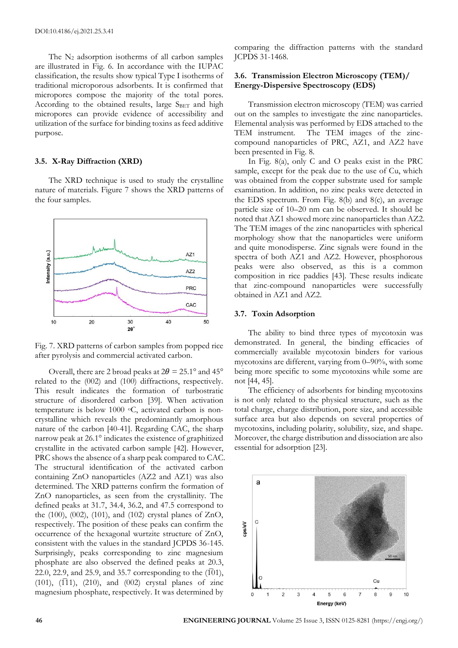The  $N_2$  adsorption isotherms of all carbon samples are illustrated in Fig. 6. In accordance with the IUPAC classification, the results show typical Type I isotherms of traditional microporous adsorbents. It is confirmed that micropores compose the majority of the total pores. According to the obtained results, large SBET and high micropores can provide evidence of accessibility and utilization of the surface for binding toxins as feed additive purpose.

#### **3.5. X-Ray Diffraction (XRD)**

The XRD technique is used to study the crystalline nature of materials. Figure 7 shows the XRD patterns of the four samples.



Fig. 7. XRD patterns of carbon samples from popped rice after pyrolysis and commercial activated carbon.

Overall, there are 2 broad peaks at  $2\theta = 25.1^{\circ}$  and  $45^{\circ}$ related to the (002) and (100) diffractions, respectively. This result indicates the formation of turbostratic structure of disordered carbon [39]. When activation temperature is below 1000 °C, activated carbon is noncrystalline which reveals the predominantly amorphous nature of the carbon [40-41]. Regarding CAC, the sharp narrow peak at 26.1° indicates the existence of graphitized crystallite in the activated carbon sample [42]. However, PRC shows the absence of a sharp peak compared to CAC. The structural identification of the activated carbon containing ZnO nanoparticles (AZ2 and AZ1) was also determined. The XRD patterns confirm the formation of ZnO nanoparticles, as seen from the crystallinity. The defined peaks at 31.7, 34.4, 36.2, and 47.5 correspond to the (100), (002), (101), and (102) crystal planes of ZnO, respectively. The position of these peaks can confirm the occurrence of the hexagonal wurtzite structure of ZnO, consistent with the values in the standard JCPDS 36-145. Surprisingly, peaks corresponding to zinc magnesium phosphate are also observed the defined peaks at 20.3, 22.0, 22.9, and 25.9, and 35.7 corresponding to the  $(101)$ ,  $(101)$ ,  $(1\overline{1}1)$ ,  $(210)$ , and  $(002)$  crystal planes of zinc magnesium phosphate, respectively. It was determined by

comparing the diffraction patterns with the standard JCPDS 31-1468.

# **3.6. Transmission Electron Microscopy (TEM)/ Energy-Dispersive Spectroscopy (EDS)**

Transmission electron microscopy (TEM) was carried out on the samples to investigate the zinc nanoparticles. Elemental analysis was performed by EDS attached to the TEM instrument. The TEM images of the zinccompound nanoparticles of PRC, AZ1, and AZ2 have been presented in Fig. 8.

In Fig. 8(a), only C and O peaks exist in the PRC sample, except for the peak due to the use of Cu, which was obtained from the copper substrate used for sample examination. In addition, no zinc peaks were detected in the EDS spectrum. From Fig. 8(b) and 8(c), an average particle size of 10–20 nm can be observed. It should be noted that AZ1 showed more zinc nanoparticles than AZ2. The TEM images of the zinc nanoparticles with spherical morphology show that the nanoparticles were uniform and quite monodisperse. Zinc signals were found in the spectra of both AZ1 and AZ2. However, phosphorous peaks were also observed, as this is a common composition in rice paddies [43]. These results indicate that zinc-compound nanoparticles were successfully obtained in AZ1 and AZ2.

#### **3.7. Toxin Adsorption**

The ability to bind three types of mycotoxin was demonstrated. In general, the binding efficacies of commercially available mycotoxin binders for various mycotoxins are different, varying from 0–90%, with some being more specific to some mycotoxins while some are not [44, 45].

The efficiency of adsorbents for binding mycotoxins is not only related to the physical structure, such as the total charge, charge distribution, pore size, and accessible surface area but also depends on several properties of mycotoxins, including polarity, solubility, size, and shape. Moreover, the charge distribution and dissociation are also essential for adsorption [23].

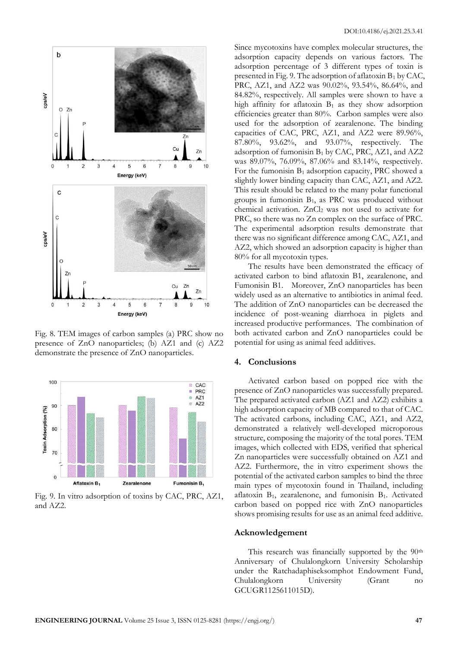

Fig. 8. TEM images of carbon samples (a) PRC show no presence of ZnO nanoparticles; (b) AZ1 and (c) AZ2 demonstrate the presence of ZnO nanoparticles.



Fig. 9. In vitro adsorption of toxins by CAC, PRC, AZ1, and AZ2.

Since mycotoxins have complex molecular structures, the adsorption capacity depends on various factors. The adsorption percentage of 3 different types of toxin is presented in Fig. 9. The adsorption of aflatoxin  $B_1$  by CAC, PRC, AZ1, and AZ2 was 90.02%, 93.54%, 86.64%, and 84.82%, respectively. All samples were shown to have a high affinity for aflatoxin  $B_1$  as they show adsorption efficiencies greater than 80%. Carbon samples were also used for the adsorption of zearalenone. The binding capacities of CAC, PRC, AZ1, and AZ2 were 89.96%, 87.80%, 93.62%, and 93.07%, respectively. The adsorption of fumonisin  $B_1$  by CAC, PRC, AZ1, and AZ2 was 89.07%, 76.09%, 87.06% and 83.14%, respectively. For the fumonisin  $B_1$  adsorption capacity, PRC showed a slightly lower binding capacity than CAC, AZ1, and AZ2. This result should be related to the many polar functional groups in fumonisin  $B_1$ , as PRC was produced without chemical activation. ZnCl<sub>2</sub> was not used to activate for PRC, so there was no Zn complex on the surface of PRC. The experimental adsorption results demonstrate that there was no significant difference among CAC, AZ1, and AZ2, which showed an adsorption capacity is higher than 80% for all mycotoxin types.

The results have been demonstrated the efficacy of activated carbon to bind aflatoxin B1, zearalenone, and Fumonisin B1. Moreover, ZnO nanoparticles has been widely used as an alternative to antibiotics in animal feed. The addition of ZnO nanoparticles can be decreased the incidence of post-weaning diarrhoea in piglets and increased productive performances. The combination of both activated carbon and ZnO nanoparticles could be potential for using as animal feed additives.

### **4. Conclusions**

Activated carbon based on popped rice with the presence of ZnO nanoparticles was successfully prepared. The prepared activated carbon (AZ1 and AZ2) exhibits a high adsorption capacity of MB compared to that of CAC. The activated carbons, including CAC, AZ1, and AZ2, demonstrated a relatively well-developed microporous structure, composing the majority of the total pores. TEM images, which collected with EDS, verified that spherical Zn nanoparticles were successfully obtained on AZ1 and AZ2. Furthermore, the in vitro experiment shows the potential of the activated carbon samples to bind the three main types of mycotoxin found in Thailand, including aflatoxin B1, zearalenone, and fumonisin B1. Activated carbon based on popped rice with ZnO nanoparticles shows promising results for use as an animal feed additive.

#### **Acknowledgement**

This research was financially supported by the 90<sup>th</sup> Anniversary of Chulalongkorn University Scholarship under the Ratchadaphiseksomphot Endowment Fund, Chulalongkorn University (Grant no GCUGR1125611015D).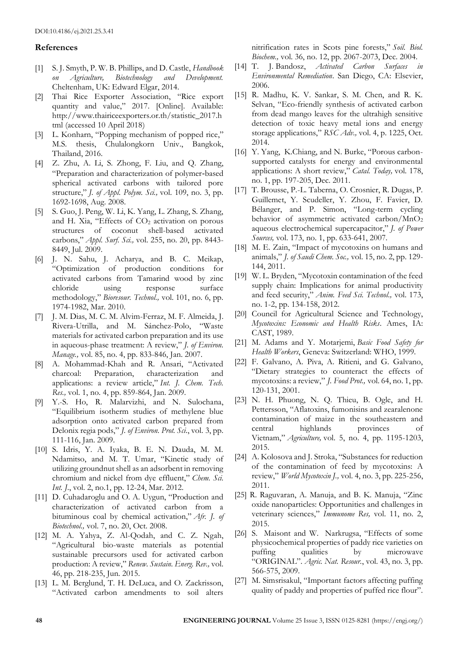## **References**

- [1] S. J. Smyth, P. W. B. Phillips, and D. Castle, *Handbook on Agriculture, Biotechnology and Development.* Cheltenham, UK: Edward Elgar, 2014.
- [2] Thai Rice Exporter Association, "Rice export quantity and value," 2017. [Online]. Available: http://www.thairiceexporters.or.th/statistic\_2017.h tml (accessed 10 April 2018)
- [3] L. Konharn, "Popping mechanism of popped rice," M.S. thesis, Chulalongkorn Univ., Bangkok, Thailand, 2016.
- [4] Z. Zhu, A. Li, S. Zhong, F. Liu, and Q. Zhang, "Preparation and characterization of polymer‐based spherical activated carbons with tailored pore structure," *J. of Appl. Polym. Sci.,* vol. 109, no. 3, pp. 1692-1698, Aug. 2008.
- [5] S. Guo, J. Peng, W. Li, K. Yang, L. Zhang, S. Zhang, and H. Xia, "Effects of  $CO<sub>2</sub>$  activation on porous structures of coconut shell-based activated carbons," *Appl. Surf. Sci.,* vol. 255, no. 20, pp. 8443- 8449, Jul. 2009.
- [6] J. N. Sahu, J. Acharya, and B. C. Meikap, "Optimization of production conditions for activated carbons from Tamarind wood by zinc chloride using response surface methodology," *Bioresour. Technol.,* vol. 101, no. 6, pp. 1974-1982, Mar. 2010.
- [7] J. M. Dias, M. C. M. Alvim-Ferraz, M. F. Almeida, J. Rivera-Utrilla, and M. Sánchez-Polo, "Waste materials for activated carbon preparation and its use in aqueous-phase treatment: A review," *J. of Environ. Manage.,* vol. 85, no. 4, pp. 833-846, Jan. 2007.
- [8] A. Mohammad-Khah and R. Ansari, "Activated charcoal: Preparation, characterization and applications: a review article," *Int. J. Chem. Tech. Res.,* vol. 1, no. 4, pp. 859-864, Jan. 2009.
- [9] Y.-S. Ho, R. Malarvizhi, and N. Sulochana, "Equilibrium isotherm studies of methylene blue adsorption onto activated carbon prepared from Delonix regia pods," *J. of Environ. Prot. Sci*., vol. 3, pp. 111-116, Jan. 2009.
- [10] S. Idris, Y. A. Iyaka, B. E. N. Dauda, M. M. Ndamitso, and M. T. Umar, "Kinetic study of utilizing groundnut shell as an adsorbent in removing chromium and nickel from dye effluent," *Chem. Sci. Int. J.*, vol. 2, no.1, pp. 12-24, Mar. 2012.
- [11] D. Cuhadaroglu and O. A. Uygun, "Production and characterization of activated carbon from a bituminous coal by chemical activation," *Afr. J. of Biotechnol.,* vol. 7, no. 20, Oct. 2008.
- [12] M. A. Yahya, Z. Al-Qodah, and C. Z. Ngah, "Agricultural bio-waste materials as potential sustainable precursors used for activated carbon production: A review," *Renew. Sustain. Energ. Rev.,* vol. 46, pp. 218-235, Jun. 2015.
- [13] L. M. Berglund, T. H. DeLuca, and O. Zackrisson, "Activated carbon amendments to soil alters

nitrification rates in Scots pine forests," *Soil. Biol. Biochem.,* vol. 36, no. 12, pp. 2067-2073, Dec. 2004.

- [14] T. J. Bandosz, *Activated Carbon Surfaces in Environmental Remediation*. San Diego, CA: Elsevier, 2006.
- [15] R. Madhu, K. V. Sankar, S. M. Chen, and R. K. Selvan, "Eco-friendly synthesis of activated carbon from dead mango leaves for the ultrahigh sensitive detection of toxic heavy metal ions and energy storage applications," *RSC Adv.,* vol. 4, p. 1225, Oct. 2014.
- [16] Y. Yang, K.Chiang, and N. Burke, "Porous carbonsupported catalysts for energy and environmental applications: A short review," *Catal. Today,* vol. 178, no. 1, pp. 197-205, Dec. 2011.
- [17] T. Brousse, P.-L. Taberna, O. Crosnier, R. Dugas, P. Guillemet, Y. Scudeller, Y. Zhou, F. Favier, D. Bélanger, and P. Simon, "Long-term cycling behavior of asymmetric activated carbon/MnO<sub>2</sub> aqueous electrochemical supercapacitor," *J. of Power Sources,* vol. 173, no. 1, pp. 633-641, 2007.
- [18] M. E. Zain, "Impact of mycotoxins on humans and animals," *J. of Saudi Chem. Soc.,* vol. 15, no. 2, pp. 129- 144, 2011.
- [19] W. L. Bryden, "Mycotoxin contamination of the feed supply chain: Implications for animal productivity and feed security," *Anim. Feed Sci. Technol.,* vol. 173, no. 1-2, pp. 134-158, 2012.
- [20] Council for Agricultural Science and Technology, *Mycotoxins: Economic and Health Risks*. Ames, IA: CAST, 1989.
- [21] M. Adams and Y. Motarjemi, *Basic Food Safety for Health Workers*, Geneva: Switzerland: WHO, 1999.
- [22] F. Galvano, A. Piva, A. Ritieni, and G. Galvano, "Dietary strategies to counteract the effects of mycotoxins: a review," *J. Food Prot.,* vol. 64, no. 1, pp. 120-131, 2001.
- [23] N. H. Phuong, N. Q. Thieu, B. Ogle, and H. Pettersson, "Aflatoxins, fumonisins and zearalenone contamination of maize in the southeastern and central highlands provinces of Vietnam," *Agriculture,* vol. 5, no. 4, pp. 1195-1203, 2015.
- [24] A. Kolosova and J. Stroka, "Substances for reduction of the contamination of feed by mycotoxins: A review," *World Mycotoxin J.,* vol. 4, no. 3, pp. 225-256, 2011.
- [25] R. Raguvaran, A. Manuja, and B. K. Manuja, "Zinc oxide nanoparticles: Opportunities and challenges in veterinary sciences," *Immunome Res,* vol. 11, no. 2, 2015.
- [26] S. Maisont and W. Narkrugsa, "Effects of some physicochemical properties of paddy rice varieties on puffing qualities by microwave "ORIGINAL". *Agric. Nat. Resour.*, vol. 43, no. 3, pp. 566-575, 2009.
- [27] M. Simsrisakul, "Important factors affecting puffing quality of paddy and properties of puffed rice flour".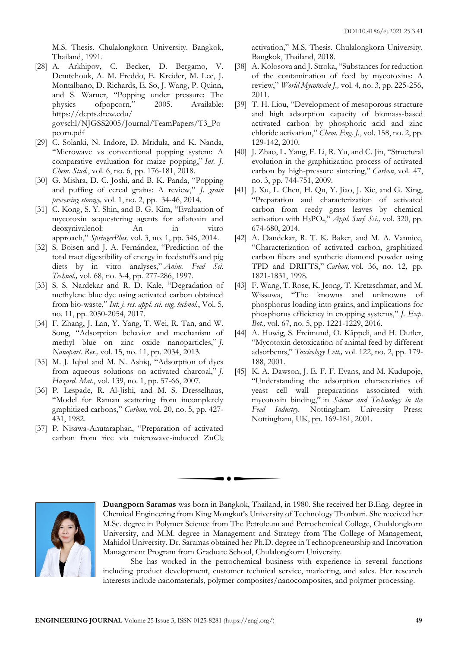M.S. Thesis. Chulalongkorn University. Bangkok, Thailand, 1991.

- [28] A. Arkhipov, C. Becker, D. Bergamo, V. Demtchouk, A. M. Freddo, E. Kreider, M. Lee, J. Montalbano, D. Richards, E. So, J. Wang, P. Quinn, and S. Warner, "Popping under pressure: The physics ofpopcorn," 2005. Available: [https://depts.drew.edu/](https://depts.drew.edu/%20govschl/)  [govschl/N](https://depts.drew.edu/%20govschl/)JGSS2005/Journal/TeamPapers/T3\_Po pcorn.pdf
- [29] C. Solanki, N. Indore, D. Mridula, and K. Nanda, "Microwave vs conventional popping system: A comparative evaluation for maize popping," *Int. J. Chem. Stud.*, vol. 6, no. 6, pp. 176-181, 2018.
- [30] G. Mishra, D. C. Joshi, and B. K. Panda, "Popping and puffing of cereal grains: A review," *J. grain processing storage,* vol. 1, no. 2, pp. 34-46, 2014.
- [31] C. Kong, S. Y. Shin, and B. G. Kim, "Evaluation of mycotoxin sequestering agents for aflatoxin and deoxynivalenol: An in vitro approach," *SpringerPlus,* vol. 3, no. 1, pp. 346, 2014.
- [32] S. Boisen and J. A. Fernández, "Prediction of the total tract digestibility of energy in feedstuffs and pig diets by in vitro analyses," *Anim. Feed Sci. Technol.,* vol. 68, no. 3-4, pp. 277-286, 1997.
- [33] S. S. Nardekar and R. D. Kale, "Degradation of methylene blue dye using activated carbon obtained from bio-waste," *Int. j. res. appl. sci. eng. technol.*, Vol. 5, no. 11, pp. 2050-2054, 2017.
- [34] F. Zhang, J. Lan, Y. Yang, T. Wei, R. Tan, and W. Song, "Adsorption behavior and mechanism of methyl blue on zinc oxide nanoparticles," *J. Nanopart. Res.,* vol. 15, no. 11, pp. 2034, 2013.
- [35] M. J. Iqbal and M. N. Ashiq, "Adsorption of dyes from aqueous solutions on activated charcoal," *J. Hazard. Mat.*, vol. 139, no. 1, pp. 57-66, 2007.
- [36] P. Lespade, R. Al-Jishi, and M. S. Dresselhaus, "Model for Raman scattering from incompletely graphitized carbons," *Carbon,* vol. 20, no. 5, pp. 427- 431, 1982.
- [37] P. Nisawa-Anutaraphan, "Preparation of activated carbon from rice via microwave-induced ZnCl<sup>2</sup>

activation," M.S. Thesis. Chulalongkorn University. Bangkok, Thailand, 2018.

- [38] A. Kolosova and J. Stroka, "Substances for reduction of the contamination of feed by mycotoxins: A review," *World Mycotoxin J.,* vol. 4, no. 3, pp. 225-256, 2011.
- [39] T. H. Liou, "Development of mesoporous structure and high adsorption capacity of biomass-based activated carbon by phosphoric acid and zinc chloride activation," *Chem. Eng. J.*, vol. 158, no. 2, pp. 129-142, 2010.
- [40] J. Zhao, L. Yang, F. Li, R. Yu, and C. Jin, "Structural evolution in the graphitization process of activated carbon by high-pressure sintering," *Carbon*, vol. 47, no. 3, pp. 744-751, 2009.
- [41] J. Xu, L. Chen, H. Qu, Y. Jiao, J. Xie, and G. Xing, "Preparation and characterization of activated carbon from reedy grass leaves by chemical activation with H3PO4," *Appl. Surf. Sci.,* vol. 320, pp. 674-680, 2014.
- [42] A. Dandekar, R. T. K. Baker, and M. A. Vannice, "Characterization of activated carbon, graphitized carbon fibers and synthetic diamond powder using TPD and DRIFTS," *Carbon,* vol. 36, no. 12, pp. 1821-1831, 1998.
- [43] F. Wang, T. Rose, K. Jeong, T. Kretzschmar, and M. Wissuwa, "The knowns and unknowns of phosphorus loading into grains, and implications for phosphorus efficiency in cropping systems," *J. Exp. Bot.,* vol. 67, no. 5, pp. 1221-1229, 2016.
- [44] A. Huwig, S. Freimund, O. Käppeli, and H. Dutler, "Mycotoxin detoxication of animal feed by different adsorbents," *Toxicology Lett.,* vol. 122, no. 2, pp. 179- 188, 2001.
- [45] K. A. Dawson, J. E. F. F. Evans, and M. Kudupoje, "Understanding the adsorption characteristics of yeast cell wall preparations associated with mycotoxin binding," in *Science and Technology in the Feed Industry.* Nottingham University Press: Nottingham, UK, pp. 169-181, 2001.



**Duangporn Saramas** was born in Bangkok, Thailand, in 1980. She received her B.Eng. degree in Chemical Engineering from King Mongkut's University of Technology Thonburi. She received her M.Sc. degree in Polymer Science from The Petroleum and Petrochemical College, Chulalongkorn University, and M.M. degree in Management and Strategy from The College of Management, Mahidol University. Dr. Saramas obtained her Ph.D. degree in Technopreneurship and Innovation Management Program from Graduate School, Chulalongkorn University.

She has worked in the petrochemical business with experience in several functions including product development, customer technical service, marketing, and sales. Her research interests include nanomaterials, polymer composites/nanocomposites, and polymer processing.